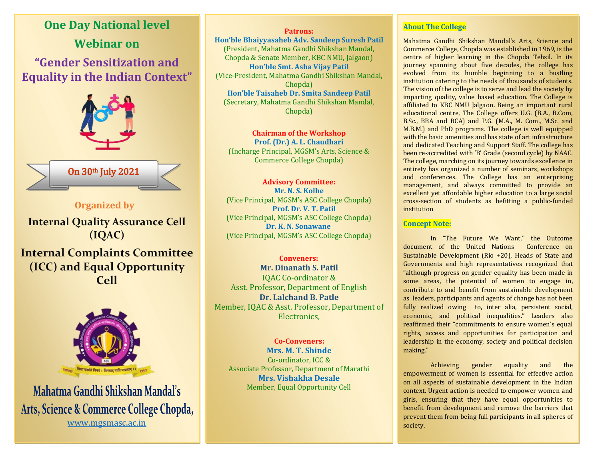



Mahatma Gandhi Shikshan Mandal's Arts, Science & Commerce College Chopda, [www.mgsmasc.ac.in](http://www.mgsmasc.ac.in/)

**Patrons: Hon'ble Bhaiyyasaheb Adv. Sandeep Suresh Patil** (President, Mahatma Gandhi Shikshan Mandal, Chopda & Senate Member, KBC NMU, Jalgaon) **Hon'ble Smt. Asha Vijay Patil** (Vice-President, Mahatma Gandhi Shikshan Mandal, Chopda) **Hon'ble Taisaheb Dr. Smita Sandeep Patil**

(Secretary, Mahatma Gandhi Shikshan Mandal, Chopda)

**Chairman of the Workshop Prof. (Dr.) A. L. Chaudhari** (Incharge Principal, MGSM's Arts, Science & Commerce College Chopda)

**Advisory Committee: Mr. N. S. Kolhe** (Vice Principal, MGSM's ASC College Chopda)  **Prof. Dr. V. T. Patil**  (Vice Principal, MGSM's ASC College Chopda) **Dr. K. N. Sonawane** (Vice Principal, MGSM's ASC College Chopda)

 **Conveners: Mr. Dinanath S. Patil** IQAC Co-ordinator & Asst. Professor, Department of English **Dr. Lalchand B. Patle** Member, IQAC & Asst. Professor, Department of Electronics,

 **Co-Conveners: Mrs. M. T. Shinde** Co-ordinator, ICC & Associate Professor, Department of Marathi **Mrs. Vishakha Desale** Member, Equal Opportunity Cell

#### **About The College**

Mahatma Gandhi Shikshan Mandal's Arts, Science and Commerce College, Chopda was established in 1969, is the centre of higher learning in the Chopda Tehsil. In its journey spanning about five decades, the college has evolved from its humble beginning to a bustling institution catering to the needs of thousands of students. The vision of the college is to serve and lead the society by imparting quality, value based education. The College is affiliated to KBC NMU Jalgaon. Being an important rural educational centre, The College offers U.G. (B.A., B.Com, B.Sc., BBA and BCA) and P.G. (M.A., M. Com., M.Sc. and M.B.M.) and PhD programs. The college is well equipped with the basic amenities and has state of art infrastructure and dedicated Teaching and Support Staff. The college has been re-accredited with 'B' Grade (second cycle) by NAAC. The college, marching on its journey towards excellence in entirety has organized a number of seminars, workshops and conferences. The College has an enterprising management, and always committed to provide an excellent yet affordable higher education to a large social cross-section of students as befitting a public-funded institution

### **Concept Note:**

In "The Future We Want," the Outcome document of the United Nations Conference on Sustainable Development (Rio +20), Heads of State and Governments and high representatives recognized that "although progress on gender equality has been made in some areas, the potential of women to engage in, contribute to and benefit from sustainable development as leaders, participants and agents of change has not been fully realized owing to, inter alia, persistent social, economic, and political inequalities." Leaders also reaffirmed their "commitments to ensure women's equal rights, access and opportunities for participation and leadership in the economy, society and political decision making."

Achieving gender equality and the empowerment of women is essential for effective action on all aspects of sustainable development in the Indian context. Urgent action is needed to empower women and girls, ensuring that they have equal opportunities to benefit from development and remove the barriers that prevent them from being full participants in all spheres of society.